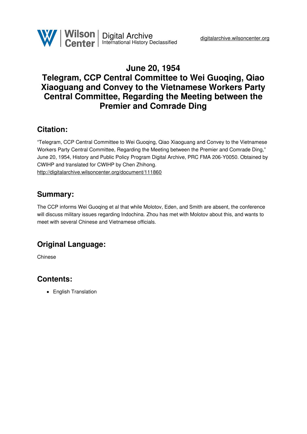

# **June 20, 1954 Telegram, CCP Central Committee to Wei Guoqing, Qiao Xiaoguang and Convey to the Vietnamese Workers Party Central Committee, Regarding the Meeting between the Premier and Comrade Ding**

### **Citation:**

"Telegram, CCP Central Committee to Wei Guoqing, Qiao Xiaoguang and Convey to the Vietnamese Workers Party Central Committee, Regarding the Meeting between the Premier and Comrade Ding," June 20, 1954, History and Public Policy Program Digital Archive, PRC FMA 206-Y0050. Obtained by CWIHP and translated for CWIHP by Chen Zhihong. <http://digitalarchive.wilsoncenter.org/document/111860>

### **Summary:**

The CCP informs Wei Guoqing et al that while Molotov, Eden, and Smith are absent, the conference will discuss military issues regarding Indochina. Zhou has met with Molotov about this, and wants to meet with several Chinese and Vietnamese officials.

# **Original Language:**

Chinese

# **Contents:**

• English Translation